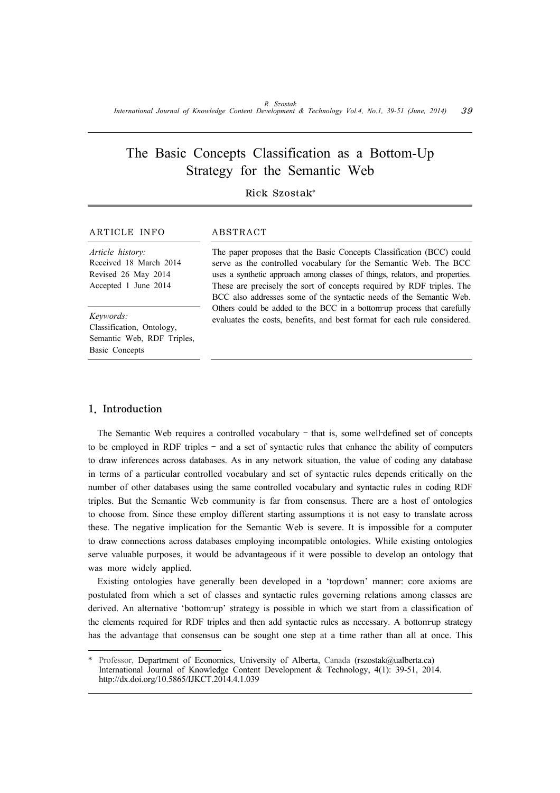# The Basic Concepts Classification as a Bottom-Up Strategy for the Semantic Web

# Rick Szostak\*

## ARTICLE INFO ABSTRACT

*Article history:* Received 18 March 2014 Revised 26 May 2014 Accepted 1 June 2014

Classification, Ontology, Semantic Web, RDF Triples, Basic Concepts

The paper proposes that the Basic Concepts Classification (BCC) could serve as the controlled vocabulary for the Semantic Web. The BCC uses a synthetic approach among classes of things, relators, and properties. These are precisely the sort of concepts required by RDF triples. The BCC also addresses some of the syntactic needs of the Semantic Web. Others could be added to the BCC in a bottom-up process that carefully evaluates the costs, benefits, and best format for each rule considered. *Keywords:*

#### 1. Introduction

The Semantic Web requires a controlled vocabulary – that is, some well-defined set of concepts to be employed in RDF triples – and a set of syntactic rules that enhance the ability of computers to draw inferences across databases. As in any network situation, the value of coding any database in terms of a particular controlled vocabulary and set of syntactic rules depends critically on the number of other databases using the same controlled vocabulary and syntactic rules in coding RDF triples. But the Semantic Web community is far from consensus. There are a host of ontologies to choose from. Since these employ different starting assumptions it is not easy to translate across these. The negative implication for the Semantic Web is severe. It is impossible for a computer to draw connections across databases employing incompatible ontologies. While existing ontologies serve valuable purposes, it would be advantageous if it were possible to develop an ontology that was more widely applied.

Existing ontologies have generally been developed in a 'top-down' manner: core axioms are postulated from which a set of classes and syntactic rules governing relations among classes are derived. An alternative 'bottom-up' strategy is possible in which we start from a classification of the elements required for RDF triples and then add syntactic rules as necessary. A bottom-up strategy has the advantage that consensus can be sought one step at a time rather than all at once. This

Professor, Department of Economics, University of Alberta, Canada (rszostak@ualberta.ca) International Journal of Knowledge Content Development & Technology, 4(1): 39-51, 2014. http://dx.doi.org/10.5865/IJKCT.2014.4.1.039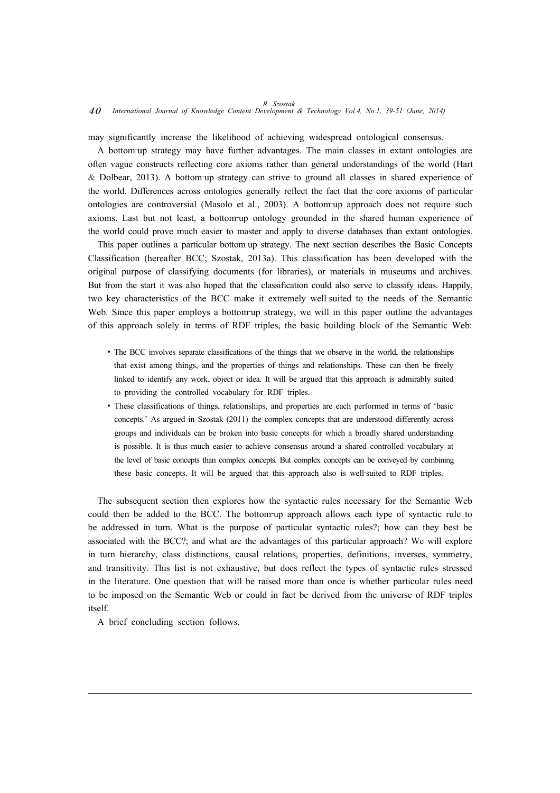may significantly increase the likelihood of achieving widespread ontological consensus.

A bottom‐up strategy may have further advantages. The main classes in extant ontologies are often vague constructs reflecting core axioms rather than general understandings of the world (Hart  $\&$  Dolbear, 2013). A bottom-up strategy can strive to ground all classes in shared experience of the world. Differences across ontologies generally reflect the fact that the core axioms of particular ontologies are controversial (Masolo et al., 2003). A bottom-up approach does not require such axioms. Last but not least, a bottom-up ontology grounded in the shared human experience of the world could prove much easier to master and apply to diverse databases than extant ontologies.

This paper outlines a particular bottom-up strategy. The next section describes the Basic Concepts Classification (hereafter BCC; Szostak, 2013a). This classification has been developed with the original purpose of classifying documents (for libraries), or materials in museums and archives. But from the start it was also hoped that the classification could also serve to classify ideas. Happily, two key characteristics of the BCC make it extremely well‐suited to the needs of the Semantic Web. Since this paper employs a bottom-up strategy, we will in this paper outline the advantages of this approach solely in terms of RDF triples, the basic building block of the Semantic Web:

- The BCC involves separate classifications of the things that we observe in the world, the relationships that exist among things, and the properties of things and relationships. These can then be freely linked to identify any work, object or idea. It will be argued that this approach is admirably suited to providing the controlled vocabulary for RDF triples.
- ∙ These classifications of things, relationships, and properties are each performed in terms of 'basic concepts.' As argued in Szostak (2011) the complex concepts that are understood differently across groups and individuals can be broken into basic concepts for which a broadly shared understanding is possible. It is thus much easier to achieve consensus around a shared controlled vocabulary at the level of basic concepts than complex concepts. But complex concepts can be conveyed by combining these basic concepts. It will be argued that this approach also is well-suited to RDF triples.

The subsequent section then explores how the syntactic rules necessary for the Semantic Web could then be added to the BCC. The bottom-up approach allows each type of syntactic rule to be addressed in turn. What is the purpose of particular syntactic rules?; how can they best be associated with the BCC?; and what are the advantages of this particular approach? We will explore in turn hierarchy, class distinctions, causal relations, properties, definitions, inverses, symmetry, and transitivity. This list is not exhaustive, but does reflect the types of syntactic rules stressed in the literature. One question that will be raised more than once is whether particular rules need to be imposed on the Semantic Web or could in fact be derived from the universe of RDF triples itself.

A brief concluding section follows.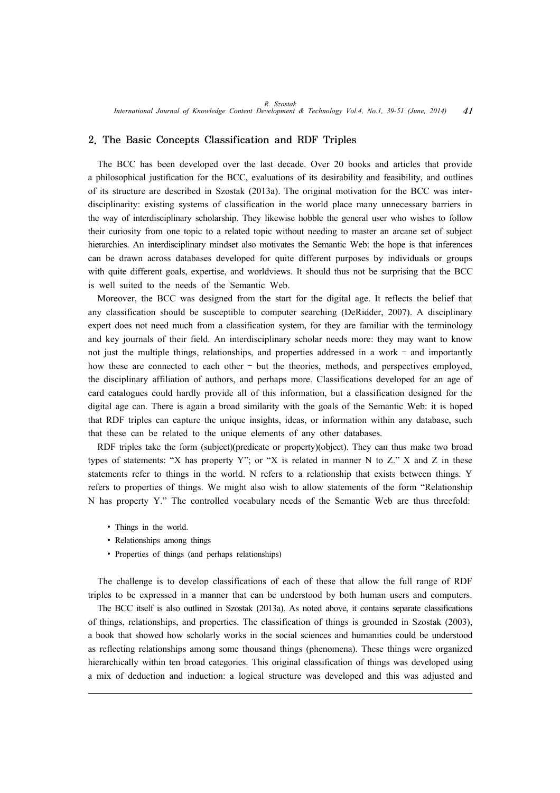### 2. The Basic Concepts Classification and RDF Triples

The BCC has been developed over the last decade. Over 20 books and articles that provide a philosophical justification for the BCC, evaluations of its desirability and feasibility, and outlines of its structure are described in Szostak (2013a). The original motivation for the BCC was interdisciplinarity: existing systems of classification in the world place many unnecessary barriers in the way of interdisciplinary scholarship. They likewise hobble the general user who wishes to follow their curiosity from one topic to a related topic without needing to master an arcane set of subject hierarchies. An interdisciplinary mindset also motivates the Semantic Web: the hope is that inferences can be drawn across databases developed for quite different purposes by individuals or groups with quite different goals, expertise, and worldviews. It should thus not be surprising that the BCC is well suited to the needs of the Semantic Web.

Moreover, the BCC was designed from the start for the digital age. It reflects the belief that any classification should be susceptible to computer searching (DeRidder, 2007). A disciplinary expert does not need much from a classification system, for they are familiar with the terminology and key journals of their field. An interdisciplinary scholar needs more: they may want to know not just the multiple things, relationships, and properties addressed in a work – and importantly how these are connected to each other – but the theories, methods, and perspectives employed, the disciplinary affiliation of authors, and perhaps more. Classifications developed for an age of card catalogues could hardly provide all of this information, but a classification designed for the digital age can. There is again a broad similarity with the goals of the Semantic Web: it is hoped that RDF triples can capture the unique insights, ideas, or information within any database, such that these can be related to the unique elements of any other databases.

RDF triples take the form (subject)(predicate or property)(object). They can thus make two broad types of statements: "X has property Y"; or "X is related in manner N to  $Z$ ." X and Z in these statements refer to things in the world. N refers to a relationship that exists between things. Y refers to properties of things. We might also wish to allow statements of the form "Relationship N has property Y." The controlled vocabulary needs of the Semantic Web are thus threefold:

- ∙ Things in the world.
- ∙ Relationships among things
- ∙ Properties of things (and perhaps relationships)

The challenge is to develop classifications of each of these that allow the full range of RDF triples to be expressed in a manner that can be understood by both human users and computers.

The BCC itself is also outlined in Szostak (2013a). As noted above, it contains separate classifications of things, relationships, and properties. The classification of things is grounded in Szostak (2003), a book that showed how scholarly works in the social sciences and humanities could be understood as reflecting relationships among some thousand things (phenomena). These things were organized hierarchically within ten broad categories. This original classification of things was developed using a mix of deduction and induction: a logical structure was developed and this was adjusted and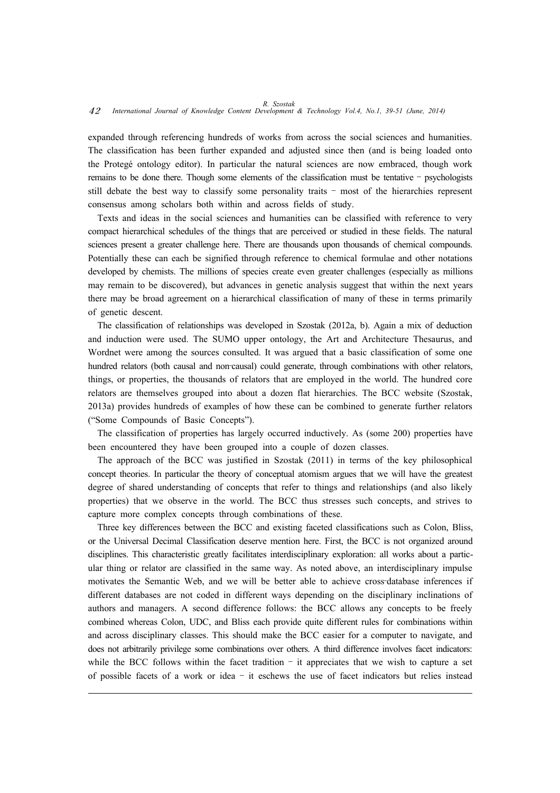expanded through referencing hundreds of works from across the social sciences and humanities. The classification has been further expanded and adjusted since then (and is being loaded onto the Protegé ontology editor). In particular the natural sciences are now embraced, though work remains to be done there. Though some elements of the classification must be tentative – psychologists still debate the best way to classify some personality traits – most of the hierarchies represent consensus among scholars both within and across fields of study.

Texts and ideas in the social sciences and humanities can be classified with reference to very compact hierarchical schedules of the things that are perceived or studied in these fields. The natural sciences present a greater challenge here. There are thousands upon thousands of chemical compounds. Potentially these can each be signified through reference to chemical formulae and other notations developed by chemists. The millions of species create even greater challenges (especially as millions may remain to be discovered), but advances in genetic analysis suggest that within the next years there may be broad agreement on a hierarchical classification of many of these in terms primarily of genetic descent.

The classification of relationships was developed in Szostak (2012a, b). Again a mix of deduction and induction were used. The SUMO upper ontology, the Art and Architecture Thesaurus, and Wordnet were among the sources consulted. It was argued that a basic classification of some one hundred relators (both causal and non-causal) could generate, through combinations with other relators, things, or properties, the thousands of relators that are employed in the world. The hundred core relators are themselves grouped into about a dozen flat hierarchies. The BCC website (Szostak, 2013a) provides hundreds of examples of how these can be combined to generate further relators ("Some Compounds of Basic Concepts").

The classification of properties has largely occurred inductively. As (some 200) properties have been encountered they have been grouped into a couple of dozen classes.

The approach of the BCC was justified in Szostak (2011) in terms of the key philosophical concept theories. In particular the theory of conceptual atomism argues that we will have the greatest degree of shared understanding of concepts that refer to things and relationships (and also likely properties) that we observe in the world. The BCC thus stresses such concepts, and strives to capture more complex concepts through combinations of these.

Three key differences between the BCC and existing faceted classifications such as Colon, Bliss, or the Universal Decimal Classification deserve mention here. First, the BCC is not organized around disciplines. This characteristic greatly facilitates interdisciplinary exploration: all works about a particular thing or relator are classified in the same way. As noted above, an interdisciplinary impulse motivates the Semantic Web, and we will be better able to achieve cross-database inferences if different databases are not coded in different ways depending on the disciplinary inclinations of authors and managers. A second difference follows: the BCC allows any concepts to be freely combined whereas Colon, UDC, and Bliss each provide quite different rules for combinations within and across disciplinary classes. This should make the BCC easier for a computer to navigate, and does not arbitrarily privilege some combinations over others. A third difference involves facet indicators: while the BCC follows within the facet tradition – it appreciates that we wish to capture a set of possible facets of a work or idea – it eschews the use of facet indicators but relies instead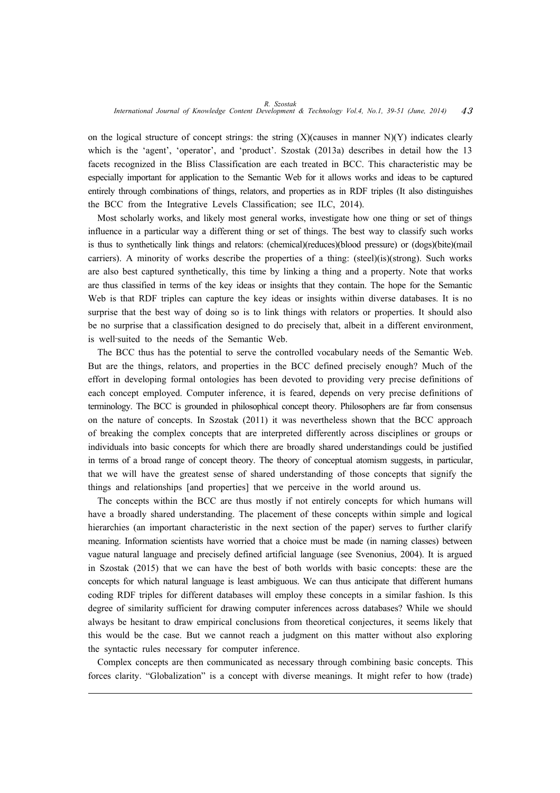on the logical structure of concept strings: the string  $(X)(causes in manner N)(Y)$  indicates clearly which is the 'agent', 'operator', and 'product'. Szostak (2013a) describes in detail how the 13 facets recognized in the Bliss Classification are each treated in BCC. This characteristic may be especially important for application to the Semantic Web for it allows works and ideas to be captured entirely through combinations of things, relators, and properties as in RDF triples (It also distinguishes the BCC from the Integrative Levels Classification; see ILC, 2014).

Most scholarly works, and likely most general works, investigate how one thing or set of things influence in a particular way a different thing or set of things. The best way to classify such works is thus to synthetically link things and relators: (chemical)(reduces)(blood pressure) or (dogs)(bite)(mail carriers). A minority of works describe the properties of a thing: (steel)(is)(strong). Such works are also best captured synthetically, this time by linking a thing and a property. Note that works are thus classified in terms of the key ideas or insights that they contain. The hope for the Semantic Web is that RDF triples can capture the key ideas or insights within diverse databases. It is no surprise that the best way of doing so is to link things with relators or properties. It should also be no surprise that a classification designed to do precisely that, albeit in a different environment, is well-suited to the needs of the Semantic Web.

The BCC thus has the potential to serve the controlled vocabulary needs of the Semantic Web. But are the things, relators, and properties in the BCC defined precisely enough? Much of the effort in developing formal ontologies has been devoted to providing very precise definitions of each concept employed. Computer inference, it is feared, depends on very precise definitions of terminology. The BCC is grounded in philosophical concept theory. Philosophers are far from consensus on the nature of concepts. In Szostak (2011) it was nevertheless shown that the BCC approach of breaking the complex concepts that are interpreted differently across disciplines or groups or individuals into basic concepts for which there are broadly shared understandings could be justified in terms of a broad range of concept theory. The theory of conceptual atomism suggests, in particular, that we will have the greatest sense of shared understanding of those concepts that signify the things and relationships [and properties] that we perceive in the world around us.

The concepts within the BCC are thus mostly if not entirely concepts for which humans will have a broadly shared understanding. The placement of these concepts within simple and logical hierarchies (an important characteristic in the next section of the paper) serves to further clarify meaning. Information scientists have worried that a choice must be made (in naming classes) between vague natural language and precisely defined artificial language (see Svenonius, 2004). It is argued in Szostak (2015) that we can have the best of both worlds with basic concepts: these are the concepts for which natural language is least ambiguous. We can thus anticipate that different humans coding RDF triples for different databases will employ these concepts in a similar fashion. Is this degree of similarity sufficient for drawing computer inferences across databases? While we should always be hesitant to draw empirical conclusions from theoretical conjectures, it seems likely that this would be the case. But we cannot reach a judgment on this matter without also exploring the syntactic rules necessary for computer inference.

Complex concepts are then communicated as necessary through combining basic concepts. This forces clarity. "Globalization" is a concept with diverse meanings. It might refer to how (trade)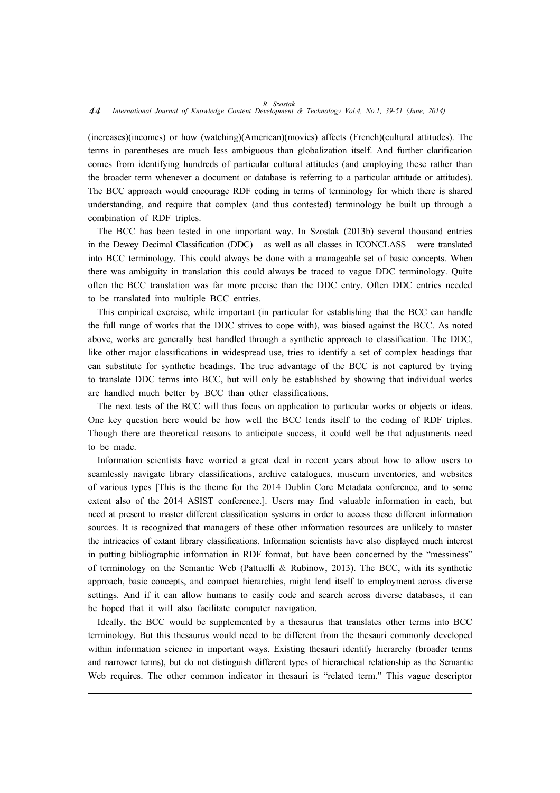# *R. Szostak* 44 *International Journal of Knowledge Content Development & Technology Vol.4, No.1, 39-51 (June, 2014)*

(increases)(incomes) or how (watching)(American)(movies) affects (French)(cultural attitudes). The terms in parentheses are much less ambiguous than globalization itself. And further clarification comes from identifying hundreds of particular cultural attitudes (and employing these rather than the broader term whenever a document or database is referring to a particular attitude or attitudes). The BCC approach would encourage RDF coding in terms of terminology for which there is shared understanding, and require that complex (and thus contested) terminology be built up through a combination of RDF triples.

The BCC has been tested in one important way. In Szostak (2013b) several thousand entries in the Dewey Decimal Classification (DDC) – as well as all classes in ICONCLASS – were translated into BCC terminology. This could always be done with a manageable set of basic concepts. When there was ambiguity in translation this could always be traced to vague DDC terminology. Quite often the BCC translation was far more precise than the DDC entry. Often DDC entries needed to be translated into multiple BCC entries.

This empirical exercise, while important (in particular for establishing that the BCC can handle the full range of works that the DDC strives to cope with), was biased against the BCC. As noted above, works are generally best handled through a synthetic approach to classification. The DDC, like other major classifications in widespread use, tries to identify a set of complex headings that can substitute for synthetic headings. The true advantage of the BCC is not captured by trying to translate DDC terms into BCC, but will only be established by showing that individual works are handled much better by BCC than other classifications.

The next tests of the BCC will thus focus on application to particular works or objects or ideas. One key question here would be how well the BCC lends itself to the coding of RDF triples. Though there are theoretical reasons to anticipate success, it could well be that adjustments need to be made.

Information scientists have worried a great deal in recent years about how to allow users to seamlessly navigate library classifications, archive catalogues, museum inventories, and websites of various types [This is the theme for the 2014 Dublin Core Metadata conference, and to some extent also of the 2014 ASIST conference.]. Users may find valuable information in each, but need at present to master different classification systems in order to access these different information sources. It is recognized that managers of these other information resources are unlikely to master the intricacies of extant library classifications. Information scientists have also displayed much interest in putting bibliographic information in RDF format, but have been concerned by the "messiness" of terminology on the Semantic Web (Pattuelli & Rubinow, 2013). The BCC, with its synthetic approach, basic concepts, and compact hierarchies, might lend itself to employment across diverse settings. And if it can allow humans to easily code and search across diverse databases, it can be hoped that it will also facilitate computer navigation.

Ideally, the BCC would be supplemented by a thesaurus that translates other terms into BCC terminology. But this thesaurus would need to be different from the thesauri commonly developed within information science in important ways. Existing thesauri identify hierarchy (broader terms and narrower terms), but do not distinguish different types of hierarchical relationship as the Semantic Web requires. The other common indicator in thesauri is "related term." This vague descriptor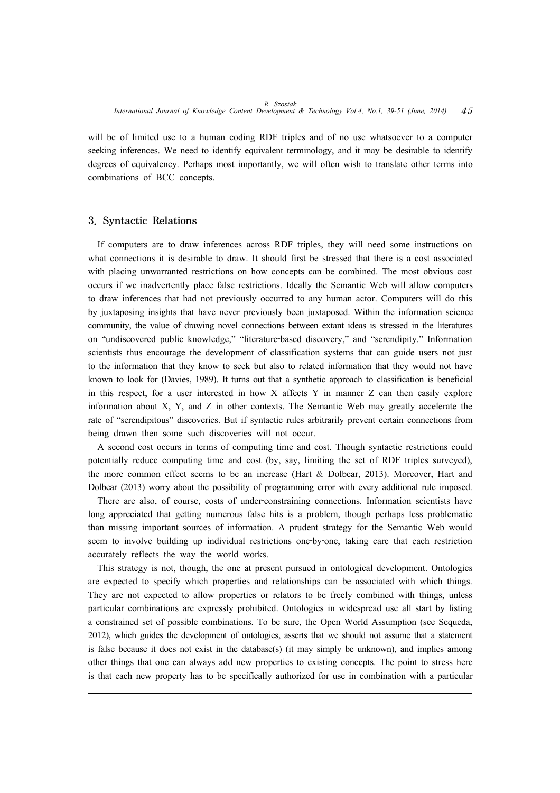will be of limited use to a human coding RDF triples and of no use whatsoever to a computer seeking inferences. We need to identify equivalent terminology, and it may be desirable to identify degrees of equivalency. Perhaps most importantly, we will often wish to translate other terms into combinations of BCC concepts.

## 3. Syntactic Relations

If computers are to draw inferences across RDF triples, they will need some instructions on what connections it is desirable to draw. It should first be stressed that there is a cost associated with placing unwarranted restrictions on how concepts can be combined. The most obvious cost occurs if we inadvertently place false restrictions. Ideally the Semantic Web will allow computers to draw inferences that had not previously occurred to any human actor. Computers will do this by juxtaposing insights that have never previously been juxtaposed. Within the information science community, the value of drawing novel connections between extant ideas is stressed in the literatures on "undiscovered public knowledge," "literature‐based discovery," and "serendipity." Information scientists thus encourage the development of classification systems that can guide users not just to the information that they know to seek but also to related information that they would not have known to look for (Davies, 1989). It turns out that a synthetic approach to classification is beneficial in this respect, for a user interested in how X affects Y in manner Z can then easily explore information about X, Y, and Z in other contexts. The Semantic Web may greatly accelerate the rate of "serendipitous" discoveries. But if syntactic rules arbitrarily prevent certain connections from being drawn then some such discoveries will not occur.

A second cost occurs in terms of computing time and cost. Though syntactic restrictions could potentially reduce computing time and cost (by, say, limiting the set of RDF triples surveyed), the more common effect seems to be an increase (Hart & Dolbear, 2013). Moreover, Hart and Dolbear (2013) worry about the possibility of programming error with every additional rule imposed.

There are also, of course, costs of under-constraining connections. Information scientists have long appreciated that getting numerous false hits is a problem, though perhaps less problematic than missing important sources of information. A prudent strategy for the Semantic Web would seem to involve building up individual restrictions one-by-one, taking care that each restriction accurately reflects the way the world works.

This strategy is not, though, the one at present pursued in ontological development. Ontologies are expected to specify which properties and relationships can be associated with which things. They are not expected to allow properties or relators to be freely combined with things, unless particular combinations are expressly prohibited. Ontologies in widespread use all start by listing a constrained set of possible combinations. To be sure, the Open World Assumption (see Sequeda, 2012), which guides the development of ontologies, asserts that we should not assume that a statement is false because it does not exist in the database(s) (it may simply be unknown), and implies among other things that one can always add new properties to existing concepts. The point to stress here is that each new property has to be specifically authorized for use in combination with a particular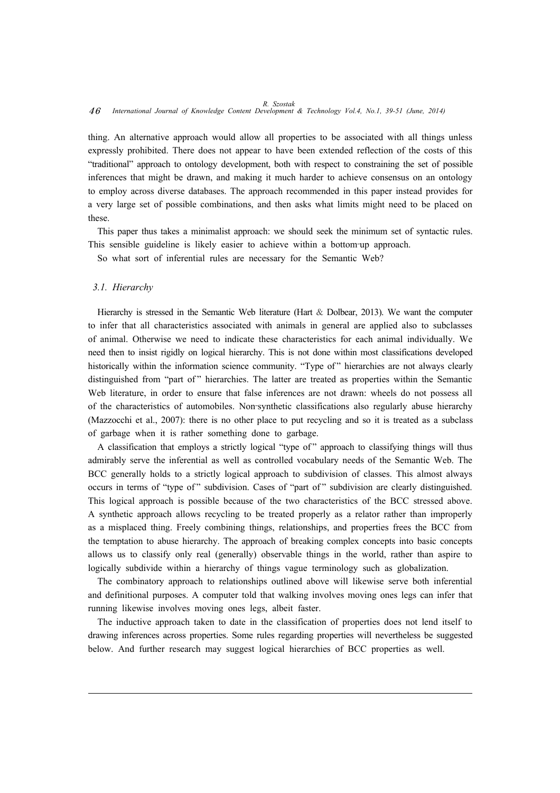# *R. Szostak* 46 *International Journal of Knowledge Content Development & Technology Vol.4, No.1, 39-51 (June, 2014)*

thing. An alternative approach would allow all properties to be associated with all things unless expressly prohibited. There does not appear to have been extended reflection of the costs of this "traditional" approach to ontology development, both with respect to constraining the set of possible inferences that might be drawn, and making it much harder to achieve consensus on an ontology to employ across diverse databases. The approach recommended in this paper instead provides for a very large set of possible combinations, and then asks what limits might need to be placed on these.

This paper thus takes a minimalist approach: we should seek the minimum set of syntactic rules. This sensible guideline is likely easier to achieve within a bottom-up approach.

So what sort of inferential rules are necessary for the Semantic Web?

#### *3.1. Hierarchy*

Hierarchy is stressed in the Semantic Web literature (Hart & Dolbear, 2013). We want the computer to infer that all characteristics associated with animals in general are applied also to subclasses of animal. Otherwise we need to indicate these characteristics for each animal individually. We need then to insist rigidly on logical hierarchy. This is not done within most classifications developed historically within the information science community. "Type of" hierarchies are not always clearly distinguished from "part of" hierarchies. The latter are treated as properties within the Semantic Web literature, in order to ensure that false inferences are not drawn: wheels do not possess all of the characteristics of automobiles. Non‐synthetic classifications also regularly abuse hierarchy (Mazzocchi et al., 2007): there is no other place to put recycling and so it is treated as a subclass of garbage when it is rather something done to garbage.

A classification that employs a strictly logical "type of " approach to classifying things will thus admirably serve the inferential as well as controlled vocabulary needs of the Semantic Web. The BCC generally holds to a strictly logical approach to subdivision of classes. This almost always occurs in terms of "type of" subdivision. Cases of "part of" subdivision are clearly distinguished. This logical approach is possible because of the two characteristics of the BCC stressed above. A synthetic approach allows recycling to be treated properly as a relator rather than improperly as a misplaced thing. Freely combining things, relationships, and properties frees the BCC from the temptation to abuse hierarchy. The approach of breaking complex concepts into basic concepts allows us to classify only real (generally) observable things in the world, rather than aspire to logically subdivide within a hierarchy of things vague terminology such as globalization.

The combinatory approach to relationships outlined above will likewise serve both inferential and definitional purposes. A computer told that walking involves moving ones legs can infer that running likewise involves moving ones legs, albeit faster.

The inductive approach taken to date in the classification of properties does not lend itself to drawing inferences across properties. Some rules regarding properties will nevertheless be suggested below. And further research may suggest logical hierarchies of BCC properties as well.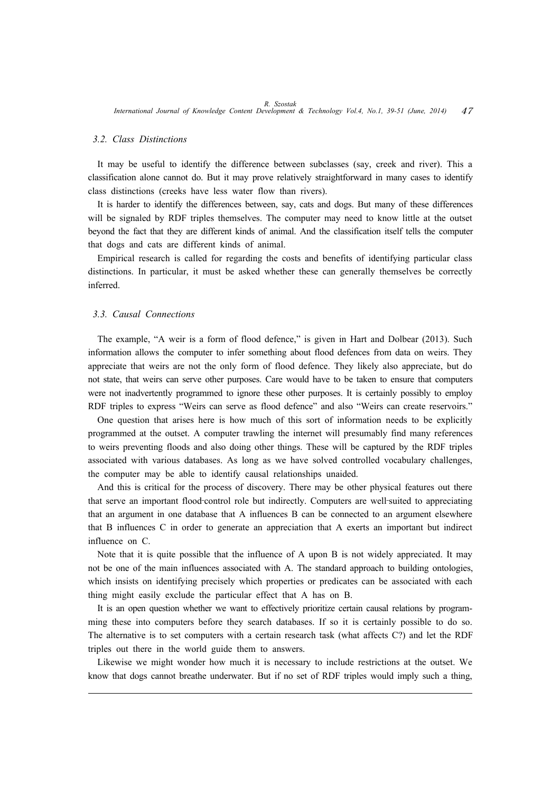#### *3.2. Class Distinctions*

It may be useful to identify the difference between subclasses (say, creek and river). This a classification alone cannot do. But it may prove relatively straightforward in many cases to identify class distinctions (creeks have less water flow than rivers).

It is harder to identify the differences between, say, cats and dogs. But many of these differences will be signaled by RDF triples themselves. The computer may need to know little at the outset beyond the fact that they are different kinds of animal. And the classification itself tells the computer that dogs and cats are different kinds of animal.

Empirical research is called for regarding the costs and benefits of identifying particular class distinctions. In particular, it must be asked whether these can generally themselves be correctly inferred.

### *3.3. Causal Connections*

The example, "A weir is a form of flood defence," is given in Hart and Dolbear (2013). Such information allows the computer to infer something about flood defences from data on weirs. They appreciate that weirs are not the only form of flood defence. They likely also appreciate, but do not state, that weirs can serve other purposes. Care would have to be taken to ensure that computers were not inadvertently programmed to ignore these other purposes. It is certainly possibly to employ RDF triples to express "Weirs can serve as flood defence" and also "Weirs can create reservoirs."

One question that arises here is how much of this sort of information needs to be explicitly programmed at the outset. A computer trawling the internet will presumably find many references to weirs preventing floods and also doing other things. These will be captured by the RDF triples associated with various databases. As long as we have solved controlled vocabulary challenges, the computer may be able to identify causal relationships unaided.

And this is critical for the process of discovery. There may be other physical features out there that serve an important flood-control role but indirectly. Computers are well-suited to appreciating that an argument in one database that A influences B can be connected to an argument elsewhere that B influences C in order to generate an appreciation that A exerts an important but indirect influence on C.

Note that it is quite possible that the influence of A upon B is not widely appreciated. It may not be one of the main influences associated with A. The standard approach to building ontologies, which insists on identifying precisely which properties or predicates can be associated with each thing might easily exclude the particular effect that A has on B.

It is an open question whether we want to effectively prioritize certain causal relations by programming these into computers before they search databases. If so it is certainly possible to do so. The alternative is to set computers with a certain research task (what affects C?) and let the RDF triples out there in the world guide them to answers.

Likewise we might wonder how much it is necessary to include restrictions at the outset. We know that dogs cannot breathe underwater. But if no set of RDF triples would imply such a thing,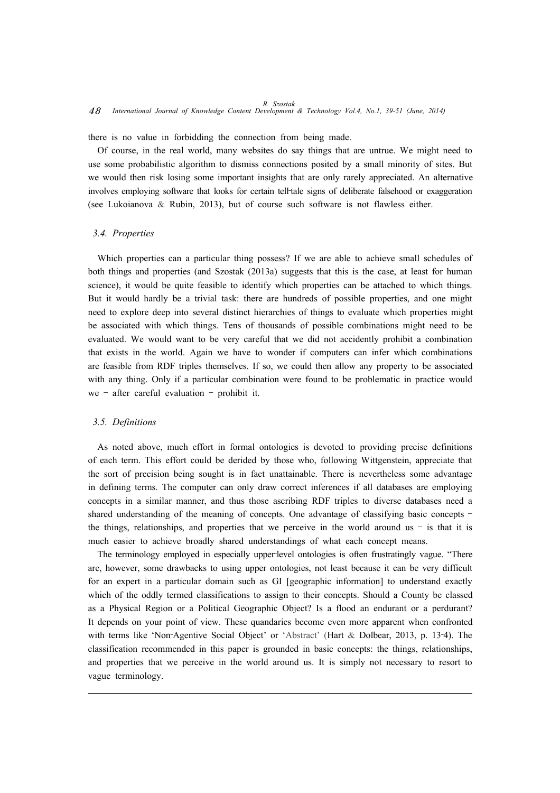there is no value in forbidding the connection from being made.

Of course, in the real world, many websites do say things that are untrue. We might need to use some probabilistic algorithm to dismiss connections posited by a small minority of sites. But we would then risk losing some important insights that are only rarely appreciated. An alternative involves employing software that looks for certain tell-tale signs of deliberate falsehood or exaggeration (see Lukoianova & Rubin, 2013), but of course such software is not flawless either.

#### *3.4. Properties*

Which properties can a particular thing possess? If we are able to achieve small schedules of both things and properties (and Szostak (2013a) suggests that this is the case, at least for human science), it would be quite feasible to identify which properties can be attached to which things. But it would hardly be a trivial task: there are hundreds of possible properties, and one might need to explore deep into several distinct hierarchies of things to evaluate which properties might be associated with which things. Tens of thousands of possible combinations might need to be evaluated. We would want to be very careful that we did not accidently prohibit a combination that exists in the world. Again we have to wonder if computers can infer which combinations are feasible from RDF triples themselves. If so, we could then allow any property to be associated with any thing. Only if a particular combination were found to be problematic in practice would we – after careful evaluation – prohibit it.

#### *3.5. Definitions*

As noted above, much effort in formal ontologies is devoted to providing precise definitions of each term. This effort could be derided by those who, following Wittgenstein, appreciate that the sort of precision being sought is in fact unattainable. There is nevertheless some advantage in defining terms. The computer can only draw correct inferences if all databases are employing concepts in a similar manner, and thus those ascribing RDF triples to diverse databases need a shared understanding of the meaning of concepts. One advantage of classifying basic concepts – the things, relationships, and properties that we perceive in the world around us  $-$  is that it is much easier to achieve broadly shared understandings of what each concept means.

The terminology employed in especially upper-level ontologies is often frustratingly vague. "There are, however, some drawbacks to using upper ontologies, not least because it can be very difficult for an expert in a particular domain such as GI [geographic information] to understand exactly which of the oddly termed classifications to assign to their concepts. Should a County be classed as a Physical Region or a Political Geographic Object? Is a flood an endurant or a perdurant? It depends on your point of view. These quandaries become even more apparent when confronted with terms like 'Non-Agentive Social Object' or 'Abstract' (Hart & Dolbear, 2013, p. 13-4). The classification recommended in this paper is grounded in basic concepts: the things, relationships, and properties that we perceive in the world around us. It is simply not necessary to resort to vague terminology.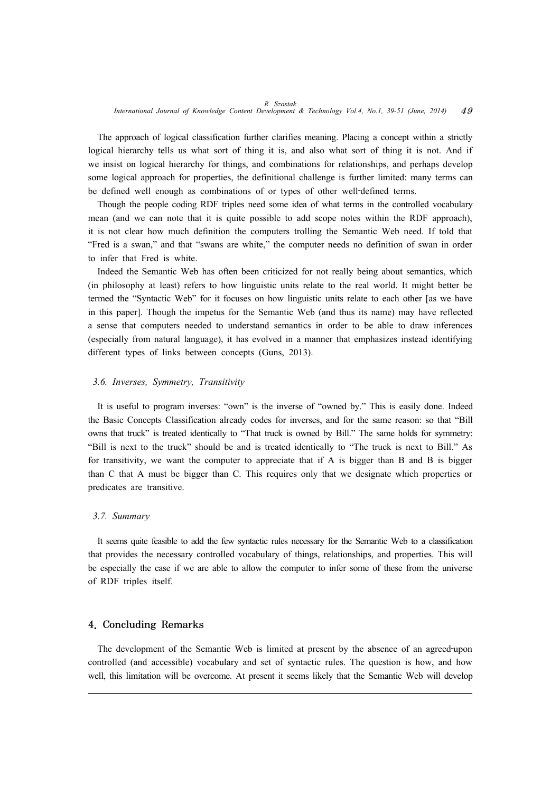The approach of logical classification further clarifies meaning. Placing a concept within a strictly logical hierarchy tells us what sort of thing it is, and also what sort of thing it is not. And if we insist on logical hierarchy for things, and combinations for relationships, and perhaps develop some logical approach for properties, the definitional challenge is further limited: many terms can be defined well enough as combinations of or types of other well-defined terms.

Though the people coding RDF triples need some idea of what terms in the controlled vocabulary mean (and we can note that it is quite possible to add scope notes within the RDF approach), it is not clear how much definition the computers trolling the Semantic Web need. If told that "Fred is a swan," and that "swans are white," the computer needs no definition of swan in order to infer that Fred is white.

Indeed the Semantic Web has often been criticized for not really being about semantics, which (in philosophy at least) refers to how linguistic units relate to the real world. It might better be termed the "Syntactic Web" for it focuses on how linguistic units relate to each other [as we have in this paper]. Though the impetus for the Semantic Web (and thus its name) may have reflected a sense that computers needed to understand semantics in order to be able to draw inferences (especially from natural language), it has evolved in a manner that emphasizes instead identifying different types of links between concepts (Guns, 2013).

#### *3.6. Inverses, Symmetry, Transitivity*

It is useful to program inverses: "own" is the inverse of "owned by." This is easily done. Indeed the Basic Concepts Classification already codes for inverses, and for the same reason: so that "Bill owns that truck" is treated identically to "That truck is owned by Bill." The same holds for symmetry: "Bill is next to the truck" should be and is treated identically to "The truck is next to Bill." As for transitivity, we want the computer to appreciate that if A is bigger than B and B is bigger than C that A must be bigger than C. This requires only that we designate which properties or predicates are transitive.

#### *3.7. Summary*

It seems quite feasible to add the few syntactic rules necessary for the Semantic Web to a classification that provides the necessary controlled vocabulary of things, relationships, and properties. This will be especially the case if we are able to allow the computer to infer some of these from the universe of RDF triples itself.

# 4. Concluding Remarks

The development of the Semantic Web is limited at present by the absence of an agreed-upon controlled (and accessible) vocabulary and set of syntactic rules. The question is how, and how well, this limitation will be overcome. At present it seems likely that the Semantic Web will develop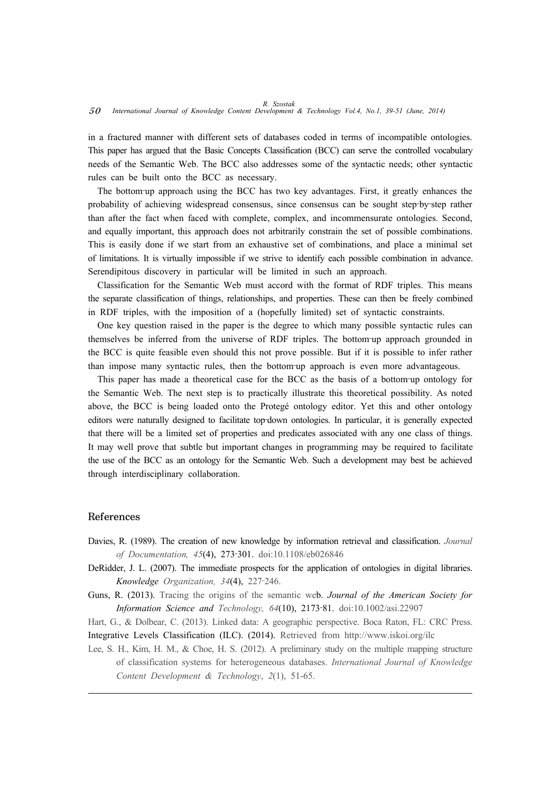in a fractured manner with different sets of databases coded in terms of incompatible ontologies. This paper has argued that the Basic Concepts Classification (BCC) can serve the controlled vocabulary needs of the Semantic Web. The BCC also addresses some of the syntactic needs; other syntactic rules can be built onto the BCC as necessary.

The bottom-up approach using the BCC has two key advantages. First, it greatly enhances the probability of achieving widespread consensus, since consensus can be sought step-by-step rather than after the fact when faced with complete, complex, and incommensurate ontologies. Second, and equally important, this approach does not arbitrarily constrain the set of possible combinations. This is easily done if we start from an exhaustive set of combinations, and place a minimal set of limitations. It is virtually impossible if we strive to identify each possible combination in advance. Serendipitous discovery in particular will be limited in such an approach.

Classification for the Semantic Web must accord with the format of RDF triples. This means the separate classification of things, relationships, and properties. These can then be freely combined in RDF triples, with the imposition of a (hopefully limited) set of syntactic constraints.

One key question raised in the paper is the degree to which many possible syntactic rules can themselves be inferred from the universe of RDF triples. The bottom-up approach grounded in the BCC is quite feasible even should this not prove possible. But if it is possible to infer rather than impose many syntactic rules, then the bottom-up approach is even more advantageous.

This paper has made a theoretical case for the BCC as the basis of a bottom-up ontology for the Semantic Web. The next step is to practically illustrate this theoretical possibility. As noted above, the BCC is being loaded onto the Protegé ontology editor. Yet this and other ontology editors were naturally designed to facilitate top-down ontologies. In particular, it is generally expected that there will be a limited set of properties and predicates associated with any one class of things. It may well prove that subtle but important changes in programming may be required to facilitate the use of the BCC as an ontology for the Semantic Web. Such a development may best be achieved through interdisciplinary collaboration.

#### References

- Davies, R. (1989). The creation of new knowledge by information retrieval and classification. *Journal of Documentation, 45*(4), 273‐301. doi:10.1108/eb026846
- DeRidder, J. L. (2007). The immediate prospects for the application of ontologies in digital libraries. *Knowledge Organization, 34*(4), 227‐246.
- Guns, R. (2013). Tracing the origins of the semantic web. *Journal of the American Society for Information Science and Technology, 64*(10), 2173‐81. doi:10.1002/asi.22907

Hart, G., & Dolbear, C. (2013). Linked data: A geographic perspective. Boca Raton, FL: CRC Press. Integrative Levels Classification (ILC). (2014). Retrieved from http://www.iskoi.org/ilc

Lee, S. H., Kim, H. M., & Choe, H. S. (2012). A preliminary study on the multiple mapping structure of classification systems for heterogeneous databases. *International Journal of Knowledge Content Development & Technology*, *2*(1), 51-65.